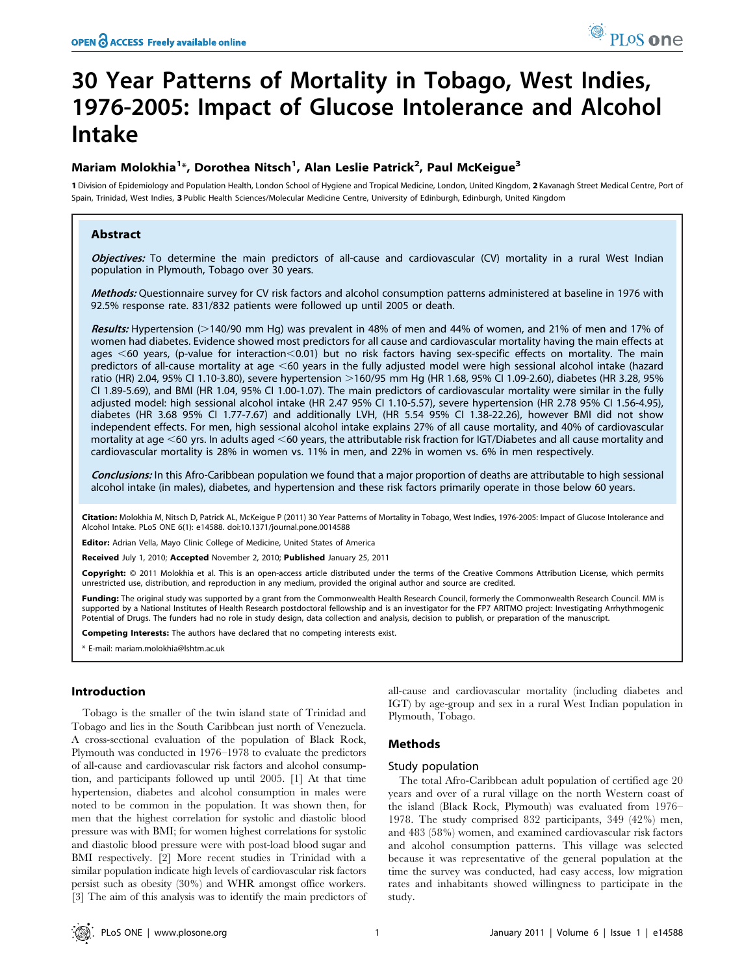# 30 Year Patterns of Mortality in Tobago, West Indies, 1976-2005: Impact of Glucose Intolerance and Alcohol Intake

# Mariam Molokhia<sup>1</sup>\*, Dorothea Nitsch<sup>1</sup>, Alan Leslie Patrick<sup>2</sup>, Paul McKeigue<sup>3</sup>

1 Division of Epidemiology and Population Health, London School of Hygiene and Tropical Medicine, London, United Kingdom, 2 Kavanagh Street Medical Centre, Port of Spain, Trinidad, West Indies, 3 Public Health Sciences/Molecular Medicine Centre, University of Edinburgh, Edinburgh, United Kingdom

## Abstract

Objectives: To determine the main predictors of all-cause and cardiovascular (CV) mortality in a rural West Indian population in Plymouth, Tobago over 30 years.

Methods: Questionnaire survey for CV risk factors and alcohol consumption patterns administered at baseline in 1976 with 92.5% response rate. 831/832 patients were followed up until 2005 or death.

Results: Hypertension (>140/90 mm Hg) was prevalent in 48% of men and 44% of women, and 21% of men and 17% of women had diabetes. Evidence showed most predictors for all cause and cardiovascular mortality having the main effects at ages  $<60$  years, (p-value for interaction $<0.01$ ) but no risk factors having sex-specific effects on mortality. The main predictors of all-cause mortality at age  $<60$  years in the fully adjusted model were high sessional alcohol intake (hazard ratio (HR) 2.04, 95% CI 1.10-3.80), severe hypertension >160/95 mm Hg (HR 1.68, 95% CI 1.09-2.60), diabetes (HR 3.28, 95% CI 1.89-5.69), and BMI (HR 1.04, 95% CI 1.00-1.07). The main predictors of cardiovascular mortality were similar in the fully adjusted model: high sessional alcohol intake (HR 2.47 95% CI 1.10-5.57), severe hypertension (HR 2.78 95% CI 1.56-4.95), diabetes (HR 3.68 95% CI 1.77-7.67) and additionally LVH, (HR 5.54 95% CI 1.38-22.26), however BMI did not show independent effects. For men, high sessional alcohol intake explains 27% of all cause mortality, and 40% of cardiovascular mortality at age  $<$  60 yrs. In adults aged  $<$  60 years, the attributable risk fraction for IGT/Diabetes and all cause mortality and cardiovascular mortality is 28% in women vs. 11% in men, and 22% in women vs. 6% in men respectively.

Conclusions: In this Afro-Caribbean population we found that a major proportion of deaths are attributable to high sessional alcohol intake (in males), diabetes, and hypertension and these risk factors primarily operate in those below 60 years.

Citation: Molokhia M, Nitsch D, Patrick AL, McKeigue P (2011) 30 Year Patterns of Mortality in Tobago, West Indies, 1976-2005: Impact of Glucose Intolerance and Alcohol Intake. PLoS ONE 6(1): e14588. doi:10.1371/journal.pone.0014588

Editor: Adrian Vella, Mayo Clinic College of Medicine, United States of America

Received July 1, 2010; Accepted November 2, 2010; Published January 25, 2011

Copyright: © 2011 Molokhia et al. This is an open-access article distributed under the terms of the Creative Commons Attribution License, which permits unrestricted use, distribution, and reproduction in any medium, provided the original author and source are credited.

Funding: The original study was supported by a grant from the Commonwealth Health Research Council, formerly the Commonwealth Research Council. MM is supported by a National Institutes of Health Research postdoctoral fellowship and is an investigator for the FP7 ARITMO project: Investigating Arrhythmogenic Potential of Drugs. The funders had no role in study design, data collection and analysis, decision to publish, or preparation of the manuscript.

Competing Interests: The authors have declared that no competing interests exist.

E-mail: mariam.molokhia@lshtm.ac.uk

## Introduction

Tobago is the smaller of the twin island state of Trinidad and Tobago and lies in the South Caribbean just north of Venezuela. A cross-sectional evaluation of the population of Black Rock, Plymouth was conducted in 1976–1978 to evaluate the predictors of all-cause and cardiovascular risk factors and alcohol consumption, and participants followed up until 2005. [1] At that time hypertension, diabetes and alcohol consumption in males were noted to be common in the population. It was shown then, for men that the highest correlation for systolic and diastolic blood pressure was with BMI; for women highest correlations for systolic and diastolic blood pressure were with post-load blood sugar and BMI respectively. [2] More recent studies in Trinidad with a similar population indicate high levels of cardiovascular risk factors persist such as obesity (30%) and WHR amongst office workers. [3] The aim of this analysis was to identify the main predictors of

all-cause and cardiovascular mortality (including diabetes and IGT) by age-group and sex in a rural West Indian population in Plymouth, Tobago.

## Methods

#### Study population

The total Afro-Caribbean adult population of certified age 20 years and over of a rural village on the north Western coast of the island (Black Rock, Plymouth) was evaluated from 1976– 1978. The study comprised 832 participants, 349 (42%) men, and 483 (58%) women, and examined cardiovascular risk factors and alcohol consumption patterns. This village was selected because it was representative of the general population at the time the survey was conducted, had easy access, low migration rates and inhabitants showed willingness to participate in the study.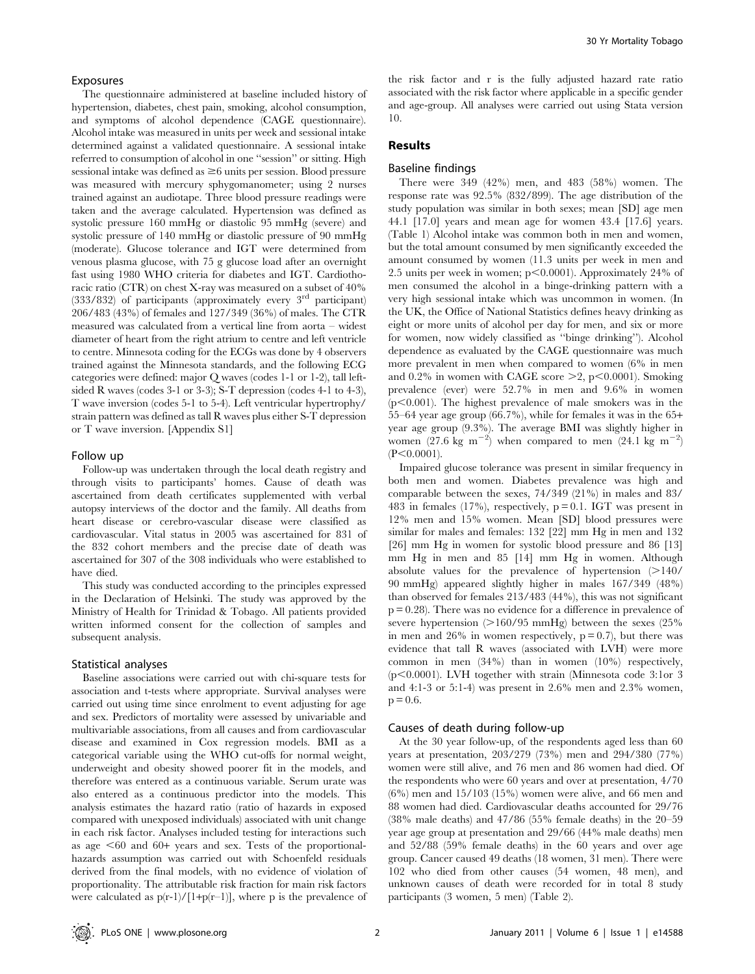#### Exposures

The questionnaire administered at baseline included history of hypertension, diabetes, chest pain, smoking, alcohol consumption, and symptoms of alcohol dependence (CAGE questionnaire). Alcohol intake was measured in units per week and sessional intake determined against a validated questionnaire. A sessional intake referred to consumption of alcohol in one ''session'' or sitting. High sessional intake was defined as  $\geq 6$  units per session. Blood pressure was measured with mercury sphygomanometer; using 2 nurses trained against an audiotape. Three blood pressure readings were taken and the average calculated. Hypertension was defined as systolic pressure 160 mmHg or diastolic 95 mmHg (severe) and systolic pressure of 140 mmHg or diastolic pressure of 90 mmHg (moderate). Glucose tolerance and IGT were determined from venous plasma glucose, with 75 g glucose load after an overnight fast using 1980 WHO criteria for diabetes and IGT. Cardiothoracic ratio (CTR) on chest X-ray was measured on a subset of 40%  $(333/832)$  of participants (approximately every 3<sup>rd</sup> participant) 206/483 (43%) of females and 127/349 (36%) of males. The CTR measured was calculated from a vertical line from aorta – widest diameter of heart from the right atrium to centre and left ventricle to centre. Minnesota coding for the ECGs was done by 4 observers trained against the Minnesota standards, and the following ECG categories were defined: major Q waves (codes 1-1 or 1-2), tall leftsided R waves (codes 3-1 or 3-3); S-T depression (codes 4-1 to 4-3), T wave inversion (codes 5-1 to 5-4). Left ventricular hypertrophy/ strain pattern was defined as tall R waves plus either S-T depression or T wave inversion. [Appendix S1]

#### Follow up

Follow-up was undertaken through the local death registry and through visits to participants' homes. Cause of death was ascertained from death certificates supplemented with verbal autopsy interviews of the doctor and the family. All deaths from heart disease or cerebro-vascular disease were classified as cardiovascular. Vital status in 2005 was ascertained for 831 of the 832 cohort members and the precise date of death was ascertained for 307 of the 308 individuals who were established to have died.

This study was conducted according to the principles expressed in the Declaration of Helsinki. The study was approved by the Ministry of Health for Trinidad & Tobago. All patients provided written informed consent for the collection of samples and subsequent analysis.

#### Statistical analyses

Baseline associations were carried out with chi-square tests for association and t-tests where appropriate. Survival analyses were carried out using time since enrolment to event adjusting for age and sex. Predictors of mortality were assessed by univariable and multivariable associations, from all causes and from cardiovascular disease and examined in Cox regression models. BMI as a categorical variable using the WHO cut-offs for normal weight, underweight and obesity showed poorer fit in the models, and therefore was entered as a continuous variable. Serum urate was also entered as a continuous predictor into the models. This analysis estimates the hazard ratio (ratio of hazards in exposed compared with unexposed individuals) associated with unit change in each risk factor. Analyses included testing for interactions such as age  $<60$  and 60+ years and sex. Tests of the proportionalhazards assumption was carried out with Schoenfeld residuals derived from the final models, with no evidence of violation of proportionality. The attributable risk fraction for main risk factors were calculated as  $p(r-1)/[1+p(r-1)]$ , where p is the prevalence of the risk factor and r is the fully adjusted hazard rate ratio associated with the risk factor where applicable in a specific gender and age-group. All analyses were carried out using Stata version 10.

## Results

## Baseline findings

There were 349 (42%) men, and 483 (58%) women. The response rate was 92.5% (832/899). The age distribution of the study population was similar in both sexes; mean [SD] age men 44.1 [17.0] years and mean age for women 43.4 [17.6] years. (Table 1) Alcohol intake was common both in men and women, but the total amount consumed by men significantly exceeded the amount consumed by women (11.3 units per week in men and 2.5 units per week in women;  $p<0.0001$ ). Approximately 24% of men consumed the alcohol in a binge-drinking pattern with a very high sessional intake which was uncommon in women. (In the UK, the Office of National Statistics defines heavy drinking as eight or more units of alcohol per day for men, and six or more for women, now widely classified as ''binge drinking''). Alcohol dependence as evaluated by the CAGE questionnaire was much more prevalent in men when compared to women (6% in men and 0.2% in women with CAGE score  $\geq 2$ , p $\leq 0.0001$ ). Smoking prevalence (ever) were 52.7% in men and 9.6% in women  $(p<0.001)$ . The highest prevalence of male smokers was in the 55–64 year age group (66.7%), while for females it was in the 65+ year age group (9.3%). The average BMI was slightly higher in women  $(27.6 \text{ kg} \text{ m}^{-2})$  when compared to men  $(24.1 \text{ kg} \text{ m}^{-2})$  $(P<0.0001)$ .

Impaired glucose tolerance was present in similar frequency in both men and women. Diabetes prevalence was high and comparable between the sexes, 74/349 (21%) in males and 83/ 483 in females  $(17\%)$ , respectively,  $p = 0.1$ . IGT was present in 12% men and 15% women. Mean [SD] blood pressures were similar for males and females: 132 [22] mm Hg in men and 132 [26] mm Hg in women for systolic blood pressure and 86 [13] mm Hg in men and 85 [14] mm Hg in women. Although absolute values for the prevalence of hypertension  $(>140/$ 90 mmHg) appeared slightly higher in males 167/349 (48%) than observed for females 213/483 (44%), this was not significant p = 0.28). There was no evidence for a difference in prevalence of severe hypertension ( $>160/95$  mmHg) between the sexes (25% in men and 26% in women respectively,  $p = 0.7$ , but there was evidence that tall R waves (associated with LVH) were more common in men (34%) than in women (10%) respectively,  $(p<0.0001)$ . LVH together with strain (Minnesota code 3:1or 3) and 4:1-3 or 5:1-4) was present in 2.6% men and 2.3% women,  $p = 0.6$ .

## Causes of death during follow-up

At the 30 year follow-up, of the respondents aged less than 60 years at presentation, 203/279 (73%) men and 294/380 (77%) women were still alive, and 76 men and 86 women had died. Of the respondents who were 60 years and over at presentation, 4/70 (6%) men and 15/103 (15%) women were alive, and 66 men and 88 women had died. Cardiovascular deaths accounted for 29/76 (38% male deaths) and 47/86 (55% female deaths) in the 20–59 year age group at presentation and 29/66 (44% male deaths) men and 52/88 (59% female deaths) in the 60 years and over age group. Cancer caused 49 deaths (18 women, 31 men). There were 102 who died from other causes (54 women, 48 men), and unknown causes of death were recorded for in total 8 study participants (3 women, 5 men) (Table 2).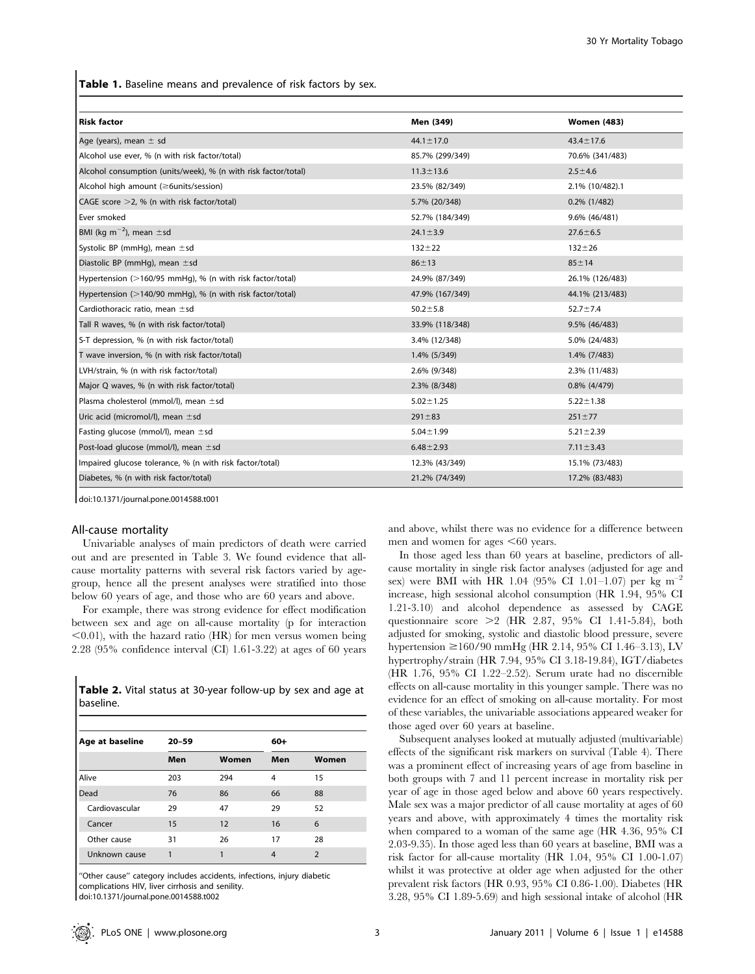Table 1. Baseline means and prevalence of risk factors by sex.

| <b>Risk factor</b>                                                   | Men (349)       | <b>Women (483)</b> |
|----------------------------------------------------------------------|-----------------|--------------------|
|                                                                      |                 |                    |
| Age (years), mean $\pm$ sd                                           | $44.1 \pm 17.0$ | $43.4 \pm 17.6$    |
| Alcohol use ever, % (n with risk factor/total)                       | 85.7% (299/349) | 70.6% (341/483)    |
| Alcohol consumption (units/week), % (n with risk factor/total)       | $11.3 \pm 13.6$ | $2.5 + 4.6$        |
| Alcohol high amount (≥6units/session)                                | 23.5% (82/349)  | 2.1% (10/482).1    |
| CAGE score $>2$ , % (n with risk factor/total)                       | 5.7% (20/348)   | $0.2\%$ (1/482)    |
| Ever smoked                                                          | 52.7% (184/349) | 9.6% (46/481)      |
| BMI (kg m <sup>-2</sup> ), mean $\pm$ sd                             | $24.1 \pm 3.9$  | $27.6 \pm 6.5$     |
| Systolic BP (mmHg), mean $\pm$ sd                                    | $132 + 22$      | $132 + 26$         |
| Diastolic BP (mmHg), mean $\pm$ sd                                   | $86 + 13$       | $85 + 14$          |
| Hypertension (>160/95 mmHq), % (n with risk factor/total)            | 24.9% (87/349)  | 26.1% (126/483)    |
| Hypertension $(>140/90 \text{ mmHq})$ , % (n with risk factor/total) | 47.9% (167/349) | 44.1% (213/483)    |
| Cardiothoracic ratio, mean ±sd                                       | $50.2 \pm 5.8$  | $52.7 \pm 7.4$     |
| Tall R waves, % (n with risk factor/total)                           | 33.9% (118/348) | 9.5% (46/483)      |
| S-T depression, % (n with risk factor/total)                         | 3.4% (12/348)   | 5.0% (24/483)      |
| T wave inversion, % (n with risk factor/total)                       | 1.4% (5/349)    | 1.4% (7/483)       |
| LVH/strain, % (n with risk factor/total)                             | 2.6% (9/348)    | 2.3% (11/483)      |
| Major Q waves, % (n with risk factor/total)                          | 2.3% (8/348)    | $0.8\%$ (4/479)    |
| Plasma cholesterol (mmol/l), mean ±sd                                | $5.02 \pm 1.25$ | $5.22 \pm 1.38$    |
| Uric acid (micromol/l), mean $\pm$ sd                                | $291 \pm 83$    | $251 \pm 77$       |
| Fasting glucose (mmol/l), mean $\pm$ sd                              | $5.04 \pm 1.99$ | $5.21 \pm 2.39$    |
| Post-load glucose (mmol/l), mean $\pm$ sd                            | $6.48 \pm 2.93$ | $7.11 \pm 3.43$    |
| Impaired glucose tolerance, % (n with risk factor/total)             | 12.3% (43/349)  | 15.1% (73/483)     |
| Diabetes, % (n with risk factor/total)                               | 21.2% (74/349)  | 17.2% (83/483)     |

doi:10.1371/journal.pone.0014588.t001

## All-cause mortality

Univariable analyses of main predictors of death were carried out and are presented in Table 3. We found evidence that allcause mortality patterns with several risk factors varied by agegroup, hence all the present analyses were stratified into those below 60 years of age, and those who are 60 years and above.

For example, there was strong evidence for effect modification between sex and age on all-cause mortality (p for interaction  $\leq$ 0.01), with the hazard ratio (HR) for men versus women being 2.28 (95% confidence interval (CI) 1.61-3.22) at ages of 60 years

|           |  |  | <b>Table 2.</b> Vital status at 30-year follow-up by sex and age at |  |  |  |
|-----------|--|--|---------------------------------------------------------------------|--|--|--|
| baseline. |  |  |                                                                     |  |  |  |

| Age at baseline | $20 - 59$ |       | 60+ |                |  |
|-----------------|-----------|-------|-----|----------------|--|
|                 | Men       | Women | Men | Women          |  |
| Alive           | 203       | 294   | 4   | 15             |  |
| Dead            | 76        | 86    | 66  | 88             |  |
| Cardiovascular  | 29        | 47    | 29  | 52             |  |
| Cancer          | 15        | 12    | 16  | 6              |  |
| Other cause     | 31        | 26    | 17  | 28             |  |
| Unknown cause   |           | 1     | 4   | $\overline{2}$ |  |

''Other cause'' category includes accidents, infections, injury diabetic complications HIV, liver cirrhosis and senility.

doi:10.1371/journal.pone.0014588.t002

and above, whilst there was no evidence for a difference between men and women for ages  $<60$  years.

In those aged less than 60 years at baseline, predictors of allcause mortality in single risk factor analyses (adjusted for age and sex) were BMI with HR 1.04 (95% CI 1.01–1.07) per kg m<sup>-2</sup> increase, high sessional alcohol consumption (HR 1.94, 95% CI 1.21-3.10) and alcohol dependence as assessed by CAGE questionnaire score  $>2$  (HR 2.87, 95% CI 1.41-5.84), both adjusted for smoking, systolic and diastolic blood pressure, severe hypertension  $\geq 160/90$  mmHg (HR 2.14, 95% CI 1.46–3.13), LV hypertrophy/strain (HR 7.94, 95% CI 3.18-19.84), IGT/diabetes (HR 1.76, 95% CI 1.22–2.52). Serum urate had no discernible effects on all-cause mortality in this younger sample. There was no evidence for an effect of smoking on all-cause mortality. For most of these variables, the univariable associations appeared weaker for those aged over 60 years at baseline.

Subsequent analyses looked at mutually adjusted (multivariable) effects of the significant risk markers on survival (Table 4). There was a prominent effect of increasing years of age from baseline in both groups with 7 and 11 percent increase in mortality risk per year of age in those aged below and above 60 years respectively. Male sex was a major predictor of all cause mortality at ages of 60 years and above, with approximately 4 times the mortality risk when compared to a woman of the same age (HR 4.36, 95% CI 2.03-9.35). In those aged less than 60 years at baseline, BMI was a risk factor for all-cause mortality (HR 1.04, 95% CI 1.00-1.07) whilst it was protective at older age when adjusted for the other prevalent risk factors (HR 0.93, 95% CI 0.86-1.00). Diabetes (HR 3.28, 95% CI 1.89-5.69) and high sessional intake of alcohol (HR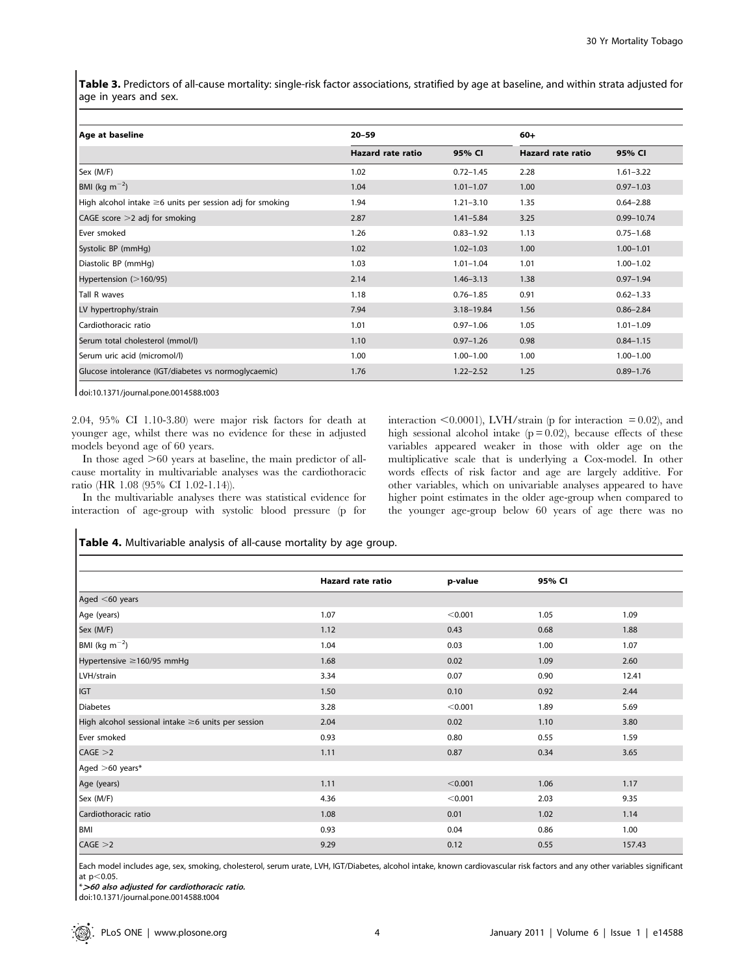Table 3. Predictors of all-cause mortality: single-risk factor associations, stratified by age at baseline, and within strata adjusted for age in years and sex.

| Age at baseline                                                | $20 - 59$                | $60+$         |                          |                |
|----------------------------------------------------------------|--------------------------|---------------|--------------------------|----------------|
|                                                                | <b>Hazard rate ratio</b> | 95% CI        | <b>Hazard rate ratio</b> | 95% CI         |
| Sex (M/F)                                                      | 1.02                     | $0.72 - 1.45$ | 2.28                     | $1.61 - 3.22$  |
| BMI (kg m <sup><math>-2</math></sup> )                         | 1.04                     | $1.01 - 1.07$ | 1.00                     | $0.97 - 1.03$  |
| High alcohol intake $\geq 6$ units per session adj for smoking | 1.94                     | $1.21 - 3.10$ | 1.35                     | $0.64 - 2.88$  |
| CAGE score $>$ 2 adj for smoking                               | 2.87                     | $1.41 - 5.84$ | 3.25                     | $0.99 - 10.74$ |
| Ever smoked                                                    | 1.26                     | $0.83 - 1.92$ | 1.13                     | $0.75 - 1.68$  |
| Systolic BP (mmHg)                                             | 1.02                     | $1.02 - 1.03$ | 1.00                     | $1.00 - 1.01$  |
| Diastolic BP (mmHg)                                            | 1.03                     | $1.01 - 1.04$ | 1.01                     | $1.00 - 1.02$  |
| Hypertension (>160/95)                                         | 2.14                     | $1.46 - 3.13$ | 1.38                     | $0.97 - 1.94$  |
| Tall R waves                                                   | 1.18                     | $0.76 - 1.85$ | 0.91                     | $0.62 - 1.33$  |
| LV hypertrophy/strain                                          | 7.94                     | 3.18-19.84    | 1.56                     | $0.86 - 2.84$  |
| Cardiothoracic ratio                                           | 1.01                     | $0.97 - 1.06$ | 1.05                     | $1.01 - 1.09$  |
| Serum total cholesterol (mmol/l)                               | 1.10                     | $0.97 - 1.26$ | 0.98                     | $0.84 - 1.15$  |
| Serum uric acid (micromol/l)                                   | 1.00                     | $1.00 - 1.00$ | 1.00                     | $1.00 - 1.00$  |
| Glucose intolerance (IGT/diabetes vs normoglycaemic)           | 1.76                     | $1.22 - 2.52$ | 1.25                     | $0.89 - 1.76$  |

doi:10.1371/journal.pone.0014588.t003

2.04, 95% CI 1.10-3.80) were major risk factors for death at younger age, whilst there was no evidence for these in adjusted models beyond age of 60 years.

In those aged  $>60$  years at baseline, the main predictor of allcause mortality in multivariable analyses was the cardiothoracic ratio (HR 1.08 (95% CI 1.02-1.14)).

In the multivariable analyses there was statistical evidence for interaction of age-group with systolic blood pressure (p for interaction  $\leq 0.0001$ ), LVH/strain (p for interaction = 0.02), and high sessional alcohol intake  $(p = 0.02)$ , because effects of these variables appeared weaker in those with older age on the multiplicative scale that is underlying a Cox-model. In other words effects of risk factor and age are largely additive. For other variables, which on univariable analyses appeared to have higher point estimates in the older age-group when compared to the younger age-group below 60 years of age there was no

## Table 4. Multivariable analysis of all-cause mortality by age group.

|                                                    | Hazard rate ratio | p-value | 95% CI |        |
|----------------------------------------------------|-------------------|---------|--------|--------|
| Aged $<$ 60 years                                  |                   |         |        |        |
| Age (years)                                        | 1.07              | < 0.001 | 1.05   | 1.09   |
| Sex (M/F)                                          | 1.12              | 0.43    | 0.68   | 1.88   |
| BMI (kg $m^{-2}$ )                                 | 1.04              | 0.03    | 1.00   | 1.07   |
| Hypertensive ≥160/95 mmHg                          | 1.68              | 0.02    | 1.09   | 2.60   |
| LVH/strain                                         | 3.34              | 0.07    | 0.90   | 12.41  |
| IGT                                                | 1.50              | 0.10    | 0.92   | 2.44   |
| Diabetes                                           | 3.28              | < 0.001 | 1.89   | 5.69   |
| High alcohol sessional intake ≥6 units per session | 2.04              | 0.02    | 1.10   | 3.80   |
| Ever smoked                                        | 0.93              | 0.80    | 0.55   | 1.59   |
| CAGE > 2                                           | 1.11              | 0.87    | 0.34   | 3.65   |
| Aged >60 years*                                    |                   |         |        |        |
| Age (years)                                        | 1.11              | < 0.001 | 1.06   | 1.17   |
| Sex (M/F)                                          | 4.36              | < 0.001 | 2.03   | 9.35   |
| Cardiothoracic ratio                               | 1.08              | 0.01    | 1.02   | 1.14   |
| <b>BMI</b>                                         | 0.93              | 0.04    | 0.86   | 1.00   |
| CAGE > 2                                           | 9.29              | 0.12    | 0.55   | 157.43 |

Each model includes age, sex, smoking, cholesterol, serum urate, LVH, IGT/Diabetes, alcohol intake, known cardiovascular risk factors and any other variables significant at  $p < 0.05$ .

\*.<sup>60</sup> also adjusted for cardiothoracic ratio.

doi:10.1371/journal.pone.0014588.t004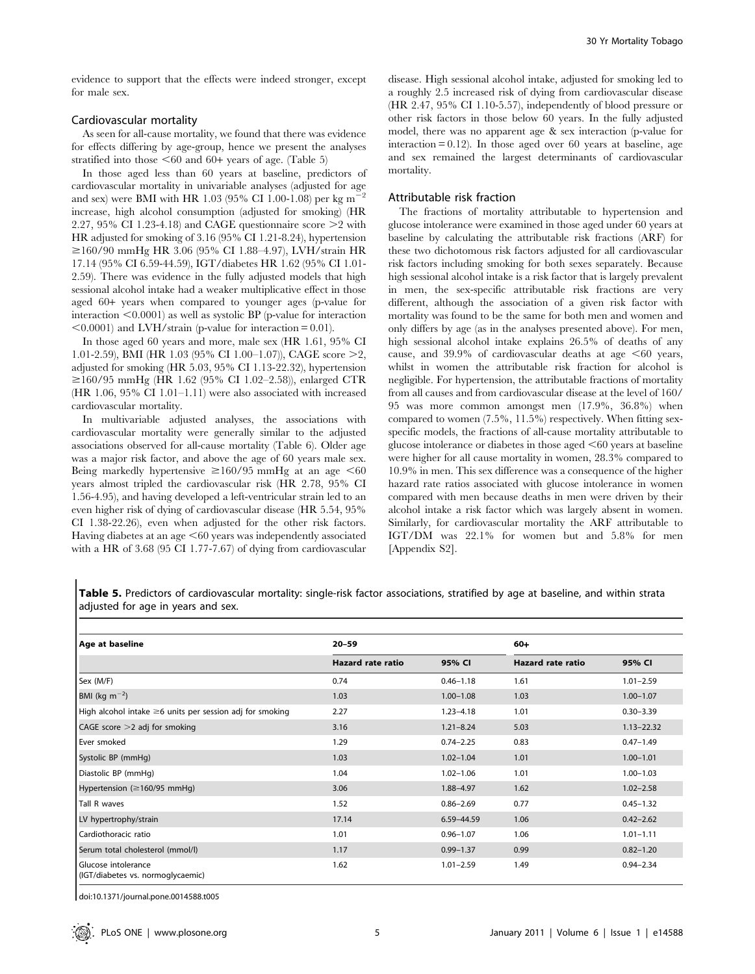evidence to support that the effects were indeed stronger, except for male sex.

## Cardiovascular mortality

As seen for all-cause mortality, we found that there was evidence for effects differing by age-group, hence we present the analyses stratified into those  $\leq 60$  and 60+ years of age. (Table 5)

In those aged less than 60 years at baseline, predictors of cardiovascular mortality in univariable analyses (adjusted for age and sex) were BMI with HR 1.03 (95% CI 1.00-1.08) per kg  $m^{-2}$ increase, high alcohol consumption (adjusted for smoking) (HR 2.27, 95% CI 1.23-4.18) and CAGE questionnaire score  $\geq$  with HR adjusted for smoking of 3.16 (95% CI 1.21-8.24), hypertension  $\geq$ 160/90 mmHg HR 3.06 (95% CI 1.88–4.97), LVH/strain HR 17.14 (95% CI 6.59-44.59), IGT/diabetes HR 1.62 (95% CI 1.01- 2.59). There was evidence in the fully adjusted models that high sessional alcohol intake had a weaker multiplicative effect in those aged 60+ years when compared to younger ages (p-value for interaction  $\leq 0.0001$ ) as well as systolic BP (p-value for interaction  $\leq 0.0001$ ) and LVH/strain (p-value for interaction = 0.01).

In those aged 60 years and more, male sex (HR 1.61, 95% CI 1.01-2.59), BMI (HR 1.03 (95% CI 1.00–1.07)), CAGE score  $\geq$ 2, adjusted for smoking (HR 5.03, 95% CI 1.13-22.32), hypertension  $\geq$ 160/95 mmHg (HR 1.62 (95% CI 1.02–2.58)), enlarged CTR (HR 1.06, 95% CI 1.01–1.11) were also associated with increased cardiovascular mortality.

In multivariable adjusted analyses, the associations with cardiovascular mortality were generally similar to the adjusted associations observed for all-cause mortality (Table 6). Older age was a major risk factor, and above the age of 60 years male sex. Being markedly hypertensive  $\geq 160/95$  mmHg at an age <60 years almost tripled the cardiovascular risk (HR 2.78, 95% CI 1.56-4.95), and having developed a left-ventricular strain led to an even higher risk of dying of cardiovascular disease (HR 5.54, 95% CI 1.38-22.26), even when adjusted for the other risk factors. Having diabetes at an age  $\leq 60$  years was independently associated with a HR of 3.68 (95 CI 1.77-7.67) of dying from cardiovascular disease. High sessional alcohol intake, adjusted for smoking led to a roughly 2.5 increased risk of dying from cardiovascular disease (HR 2.47, 95% CI 1.10-5.57), independently of blood pressure or other risk factors in those below 60 years. In the fully adjusted model, there was no apparent age & sex interaction (p-value for interaction  $= 0.12$ ). In those aged over 60 years at baseline, age and sex remained the largest determinants of cardiovascular mortality.

#### Attributable risk fraction

The fractions of mortality attributable to hypertension and glucose intolerance were examined in those aged under 60 years at baseline by calculating the attributable risk fractions (ARF) for these two dichotomous risk factors adjusted for all cardiovascular risk factors including smoking for both sexes separately. Because high sessional alcohol intake is a risk factor that is largely prevalent in men, the sex-specific attributable risk fractions are very different, although the association of a given risk factor with mortality was found to be the same for both men and women and only differs by age (as in the analyses presented above). For men, high sessional alcohol intake explains 26.5% of deaths of any cause, and 39.9% of cardiovascular deaths at age  $<60$  years, whilst in women the attributable risk fraction for alcohol is negligible. For hypertension, the attributable fractions of mortality from all causes and from cardiovascular disease at the level of 160/ 95 was more common amongst men (17.9%, 36.8%) when compared to women (7.5%, 11.5%) respectively. When fitting sexspecific models, the fractions of all-cause mortality attributable to glucose intolerance or diabetes in those aged  $\leq 60$  years at baseline were higher for all cause mortality in women, 28.3% compared to 10.9% in men. This sex difference was a consequence of the higher hazard rate ratios associated with glucose intolerance in women compared with men because deaths in men were driven by their alcohol intake a risk factor which was largely absent in women. Similarly, for cardiovascular mortality the ARF attributable to IGT/DM was 22.1% for women but and 5.8% for men [Appendix S2].

Table 5. Predictors of cardiovascular mortality: single-risk factor associations, stratified by age at baseline, and within strata adjusted for age in years and sex.

| Age at baseline                                                | $20 - 59$         |               | 60+               |                |  |  |
|----------------------------------------------------------------|-------------------|---------------|-------------------|----------------|--|--|
|                                                                | Hazard rate ratio | 95% CI        | Hazard rate ratio | 95% CI         |  |  |
| Sex (M/F)                                                      | 0.74              | $0.46 - 1.18$ | 1.61              | $1.01 - 2.59$  |  |  |
| BMI (kg m <sup><math>-2</math></sup> )                         | 1.03              | $1.00 - 1.08$ | 1.03              | $1.00 - 1.07$  |  |  |
| High alcohol intake $\geq 6$ units per session adj for smoking | 2.27              | $1.23 - 4.18$ | 1.01              | $0.30 - 3.39$  |  |  |
| CAGE score $>$ 2 adj for smoking                               | 3.16              | $1.21 - 8.24$ | 5.03              | $1.13 - 22.32$ |  |  |
| Ever smoked                                                    | 1.29              | $0.74 - 2.25$ | 0.83              | $0.47 - 1.49$  |  |  |
| Systolic BP (mmHg)                                             | 1.03              | $1.02 - 1.04$ | 1.01              | $1.00 - 1.01$  |  |  |
| Diastolic BP (mmHg)                                            | 1.04              | $1.02 - 1.06$ | 1.01              | $1.00 - 1.03$  |  |  |
| Hypertension ( $\geq$ 160/95 mmHg)                             | 3.06              | 1.88-4.97     | 1.62              | $1.02 - 2.58$  |  |  |
| Tall R waves                                                   | 1.52              | $0.86 - 2.69$ | 0.77              | $0.45 - 1.32$  |  |  |
| LV hypertrophy/strain                                          | 17.14             | 6.59-44.59    | 1.06              | $0.42 - 2.62$  |  |  |
| Cardiothoracic ratio                                           | 1.01              | $0.96 - 1.07$ | 1.06              | $1.01 - 1.11$  |  |  |
| Serum total cholesterol (mmol/l)                               | 1.17              | $0.99 - 1.37$ | 0.99              | $0.82 - 1.20$  |  |  |
| Glucose intolerance<br>(IGT/diabetes vs. normoglycaemic)       | 1.62              | $1.01 - 2.59$ | 1.49              | $0.94 - 2.34$  |  |  |

doi:10.1371/journal.pone.0014588.t005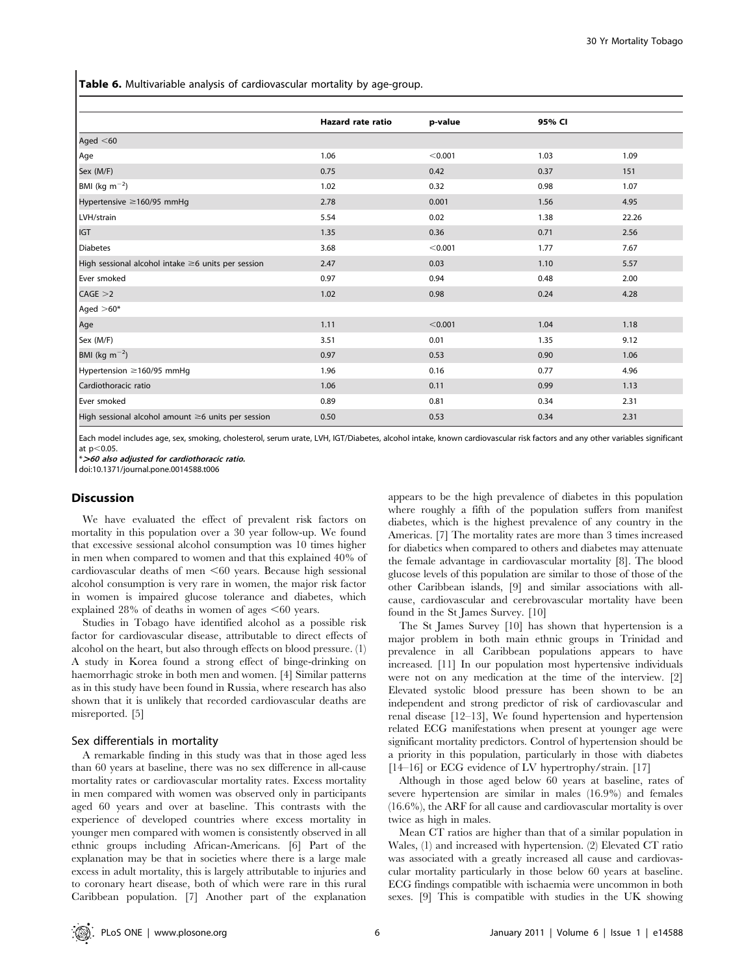Table 6. Multivariable analysis of cardiovascular mortality by age-group.

|                                                          | Hazard rate ratio | p-value | 95% CI |       |
|----------------------------------------------------------|-------------------|---------|--------|-------|
| Aged $<$ 60                                              |                   |         |        |       |
| Age                                                      | 1.06              | < 0.001 | 1.03   | 1.09  |
| Sex (M/F)                                                | 0.75              | 0.42    | 0.37   | 151   |
| BMI (kg $m^{-2}$ )                                       | 1.02              | 0.32    | 0.98   | 1.07  |
| Hypertensive ≥160/95 mmHg                                | 2.78              | 0.001   | 1.56   | 4.95  |
| LVH/strain                                               | 5.54              | 0.02    | 1.38   | 22.26 |
| IGT                                                      | 1.35              | 0.36    | 0.71   | 2.56  |
| Diabetes                                                 | 3.68              | < 0.001 | 1.77   | 7.67  |
| High sessional alcohol intake ≥6 units per session       | 2.47              | 0.03    | 1.10   | 5.57  |
| Ever smoked                                              | 0.97              | 0.94    | 0.48   | 2.00  |
| CAGE > 2                                                 | 1.02              | 0.98    | 0.24   | 4.28  |
| Aged $>60*$                                              |                   |         |        |       |
| Age                                                      | 1.11              | < 0.001 | 1.04   | 1.18  |
| Sex (M/F)                                                | 3.51              | 0.01    | 1.35   | 9.12  |
| BMI (kg $m^{-2}$ )                                       | 0.97              | 0.53    | 0.90   | 1.06  |
| Hypertension ≥160/95 mmHg                                | 1.96              | 0.16    | 0.77   | 4.96  |
| Cardiothoracic ratio                                     | 1.06              | 0.11    | 0.99   | 1.13  |
| Ever smoked                                              | 0.89              | 0.81    | 0.34   | 2.31  |
| High sessional alcohol amount $\geq$ 6 units per session | 0.50              | 0.53    | 0.34   | 2.31  |

Each model includes age, sex, smoking, cholesterol, serum urate, LVH, IGT/Diabetes, alcohol intake, known cardiovascular risk factors and any other variables significant at  $p < 0.05$ .

\*.<sup>60</sup> also adjusted for cardiothoracic ratio.

doi:10.1371/journal.pone.0014588.t006

### **Discussion**

We have evaluated the effect of prevalent risk factors on mortality in this population over a 30 year follow-up. We found that excessive sessional alcohol consumption was 10 times higher in men when compared to women and that this explained 40% of cardiovascular deaths of men  $<60$  years. Because high sessional alcohol consumption is very rare in women, the major risk factor in women is impaired glucose tolerance and diabetes, which explained  $28\%$  of deaths in women of ages  $\leq 60$  years.

Studies in Tobago have identified alcohol as a possible risk factor for cardiovascular disease, attributable to direct effects of alcohol on the heart, but also through effects on blood pressure. (1) A study in Korea found a strong effect of binge-drinking on haemorrhagic stroke in both men and women. [4] Similar patterns as in this study have been found in Russia, where research has also shown that it is unlikely that recorded cardiovascular deaths are misreported. [5]

#### Sex differentials in mortality

A remarkable finding in this study was that in those aged less than 60 years at baseline, there was no sex difference in all-cause mortality rates or cardiovascular mortality rates. Excess mortality in men compared with women was observed only in participants aged 60 years and over at baseline. This contrasts with the experience of developed countries where excess mortality in younger men compared with women is consistently observed in all ethnic groups including African-Americans. [6] Part of the explanation may be that in societies where there is a large male excess in adult mortality, this is largely attributable to injuries and to coronary heart disease, both of which were rare in this rural Caribbean population. [7] Another part of the explanation

appears to be the high prevalence of diabetes in this population where roughly a fifth of the population suffers from manifest diabetes, which is the highest prevalence of any country in the Americas. [7] The mortality rates are more than 3 times increased for diabetics when compared to others and diabetes may attenuate the female advantage in cardiovascular mortality [8]. The blood glucose levels of this population are similar to those of those of the other Caribbean islands, [9] and similar associations with allcause, cardiovascular and cerebrovascular mortality have been found in the St James Survey. [10]

The St James Survey [10] has shown that hypertension is a major problem in both main ethnic groups in Trinidad and prevalence in all Caribbean populations appears to have increased. [11] In our population most hypertensive individuals were not on any medication at the time of the interview. [2] Elevated systolic blood pressure has been shown to be an independent and strong predictor of risk of cardiovascular and renal disease [12–13], We found hypertension and hypertension related ECG manifestations when present at younger age were significant mortality predictors. Control of hypertension should be a priority in this population, particularly in those with diabetes [14–16] or ECG evidence of LV hypertrophy/strain. [17]

Although in those aged below 60 years at baseline, rates of severe hypertension are similar in males (16.9%) and females (16.6%), the ARF for all cause and cardiovascular mortality is over twice as high in males.

Mean CT ratios are higher than that of a similar population in Wales, (1) and increased with hypertension. (2) Elevated CT ratio was associated with a greatly increased all cause and cardiovascular mortality particularly in those below 60 years at baseline. ECG findings compatible with ischaemia were uncommon in both sexes. [9] This is compatible with studies in the UK showing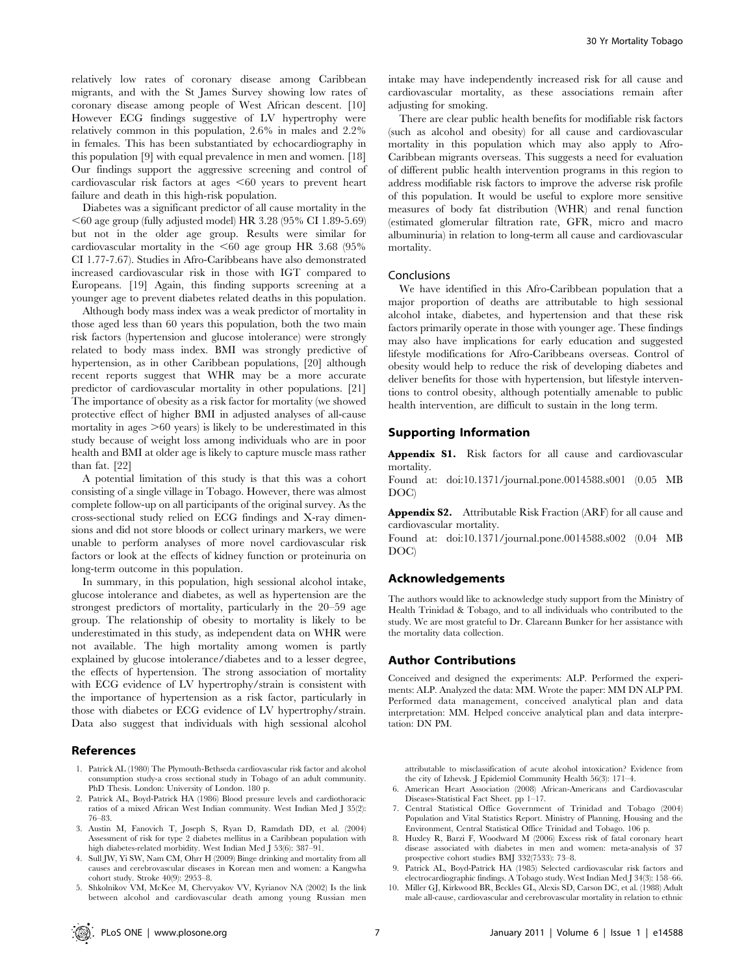relatively low rates of coronary disease among Caribbean migrants, and with the St James Survey showing low rates of coronary disease among people of West African descent. [10] However ECG findings suggestive of LV hypertrophy were relatively common in this population, 2.6% in males and 2.2% in females. This has been substantiated by echocardiography in this population [9] with equal prevalence in men and women. [18] Our findings support the aggressive screening and control of cardiovascular risk factors at ages  $<60$  years to prevent heart failure and death in this high-risk population.

Diabetes was a significant predictor of all cause mortality in the  $<$  60 age group (fully adjusted model) HR 3.28 (95% CI 1.89-5.69) but not in the older age group. Results were similar for cardiovascular mortality in the  $<60$  age group HR 3.68 (95%) CI 1.77-7.67). Studies in Afro-Caribbeans have also demonstrated increased cardiovascular risk in those with IGT compared to Europeans. [19] Again, this finding supports screening at a younger age to prevent diabetes related deaths in this population.

Although body mass index was a weak predictor of mortality in those aged less than 60 years this population, both the two main risk factors (hypertension and glucose intolerance) were strongly related to body mass index. BMI was strongly predictive of hypertension, as in other Caribbean populations, [20] although recent reports suggest that WHR may be a more accurate predictor of cardiovascular mortality in other populations. [21] The importance of obesity as a risk factor for mortality (we showed protective effect of higher BMI in adjusted analyses of all-cause mortality in ages  $>60$  years) is likely to be underestimated in this study because of weight loss among individuals who are in poor health and BMI at older age is likely to capture muscle mass rather than fat. [22]

A potential limitation of this study is that this was a cohort consisting of a single village in Tobago. However, there was almost complete follow-up on all participants of the original survey. As the cross-sectional study relied on ECG findings and X-ray dimensions and did not store bloods or collect urinary markers, we were unable to perform analyses of more novel cardiovascular risk factors or look at the effects of kidney function or proteinuria on long-term outcome in this population.

In summary, in this population, high sessional alcohol intake, glucose intolerance and diabetes, as well as hypertension are the strongest predictors of mortality, particularly in the 20–59 age group. The relationship of obesity to mortality is likely to be underestimated in this study, as independent data on WHR were not available. The high mortality among women is partly explained by glucose intolerance/diabetes and to a lesser degree, the effects of hypertension. The strong association of mortality with ECG evidence of LV hypertrophy/strain is consistent with the importance of hypertension as a risk factor, particularly in those with diabetes or ECG evidence of LV hypertrophy/strain. Data also suggest that individuals with high sessional alcohol

## References

- 1. Patrick AL (1980) The Plymouth-Bethseda cardiovascular risk factor and alcohol consumption study-a cross sectional study in Tobago of an adult community. PhD Thesis. London: University of London. 180 p.
- 2. Patrick AL, Boyd-Patrick HA (1986) Blood pressure levels and cardiothoracic ratios of a mixed African West Indian community. West Indian Med J 35(2): 76–83.
- 3. Austin M, Fanovich T, Joseph S, Ryan D, Ramdath DD, et al. (2004) Assessment of risk for type 2 diabetes mellitus in a Caribbean population with high diabetes-related morbidity. West Indian Med J 53(6): 387–91.
- 4. Sull JW, Yi SW, Nam CM, Ohrr H (2009) Binge drinking and mortality from all causes and cerebrovascular diseases in Korean men and women: a Kangwha cohort study. Stroke 40(9): 2953–8.
- 5. Shkolnikov VM, McKee M, Chervyakov VV, Kyrianov NA (2002) Is the link between alcohol and cardiovascular death among young Russian men

intake may have independently increased risk for all cause and cardiovascular mortality, as these associations remain after adjusting for smoking.

There are clear public health benefits for modifiable risk factors (such as alcohol and obesity) for all cause and cardiovascular mortality in this population which may also apply to Afro-Caribbean migrants overseas. This suggests a need for evaluation of different public health intervention programs in this region to address modifiable risk factors to improve the adverse risk profile of this population. It would be useful to explore more sensitive measures of body fat distribution (WHR) and renal function (estimated glomerular filtration rate, GFR, micro and macro albuminuria) in relation to long-term all cause and cardiovascular mortality.

#### Conclusions

We have identified in this Afro-Caribbean population that a major proportion of deaths are attributable to high sessional alcohol intake, diabetes, and hypertension and that these risk factors primarily operate in those with younger age. These findings may also have implications for early education and suggested lifestyle modifications for Afro-Caribbeans overseas. Control of obesity would help to reduce the risk of developing diabetes and deliver benefits for those with hypertension, but lifestyle interventions to control obesity, although potentially amenable to public health intervention, are difficult to sustain in the long term.

## Supporting Information

Appendix S1. Risk factors for all cause and cardiovascular mortality.

Found at: doi:10.1371/journal.pone.0014588.s001 (0.05 MB DOC)

Appendix S2. Attributable Risk Fraction (ARF) for all cause and cardiovascular mortality.

Found at: doi:10.1371/journal.pone.0014588.s002 (0.04 MB DOC)

## Acknowledgements

The authors would like to acknowledge study support from the Ministry of Health Trinidad & Tobago, and to all individuals who contributed to the study. We are most grateful to Dr. Clareann Bunker for her assistance with the mortality data collection.

#### Author Contributions

Conceived and designed the experiments: ALP. Performed the experiments: ALP. Analyzed the data: MM. Wrote the paper: MM DN ALP PM. Performed data management, conceived analytical plan and data interpretation: MM. Helped conceive analytical plan and data interpretation: DN PM.

attributable to misclassification of acute alcohol intoxication? Evidence from the city of Izhevsk. J Epidemiol Community Health 56(3): 171–4. 6. American Heart Association (2008) African-Americans and Cardiovascular

- Diseases-Statistical Fact Sheet. pp 1–17.
- 7. Central Statistical Office Government of Trinidad and Tobago (2004) Population and Vital Statistics Report. Ministry of Planning, Housing and the Environment, Central Statistical Office Trinidad and Tobago. 106 p.
- 8. Huxley R, Barzi F, Woodward M (2006) Excess risk of fatal coronary heart disease associated with diabetes in men and women: meta-analysis of 37 prospective cohort studies BMJ 332(7533): 73–8.
- 9. Patrick AL, Boyd-Patrick HA (1985) Selected cardiovascular risk factors and electrocardiographic findings. A Tobago study. West Indian Med J 34(3): 158–66.
- 10. Miller GJ, Kirkwood BR, Beckles GL, Alexis SD, Carson DC, et al. (1988) Adult male all-cause, cardiovascular and cerebrovascular mortality in relation to ethnic